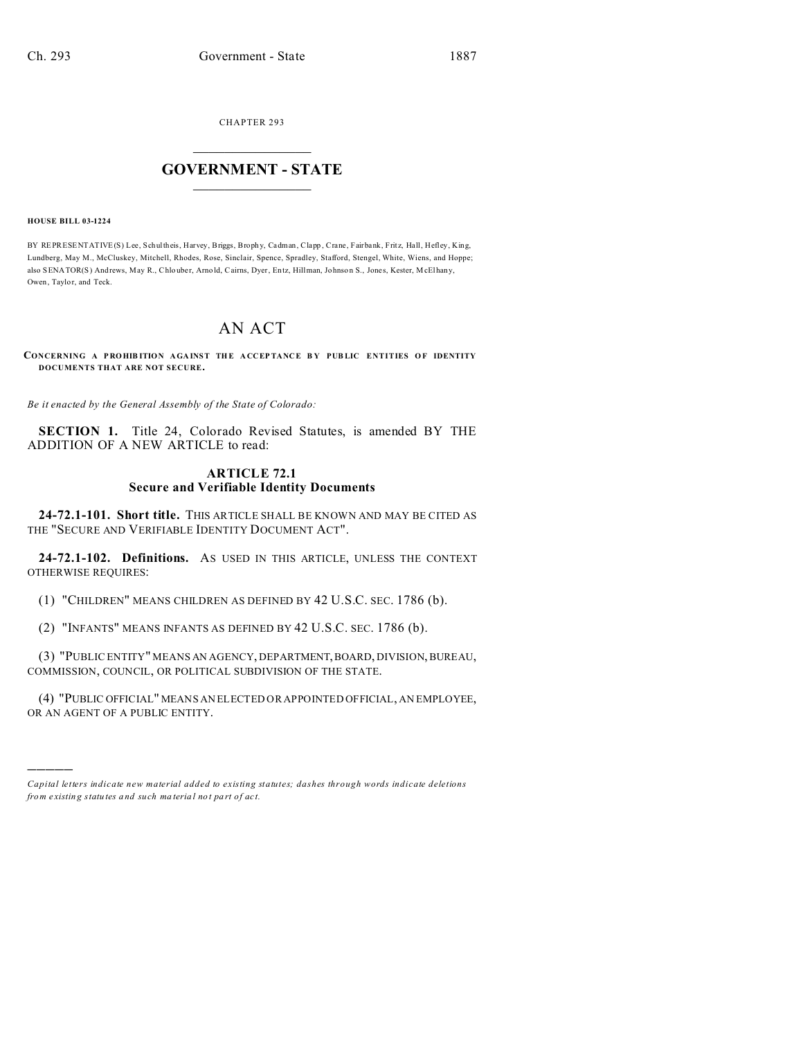CHAPTER 293  $\overline{\phantom{a}}$  , where  $\overline{\phantom{a}}$ 

## **GOVERNMENT - STATE**  $\_$   $\_$   $\_$   $\_$   $\_$   $\_$   $\_$   $\_$   $\_$

**HOUSE BILL 03-1224**

)))))

BY REPRESENTATIVE(S) Lee, Schultheis, Harvey, Briggs, Brophy, Cadman, Clapp, Crane, Fairbank, Fritz, Hall, Hefley, King, Lundberg, May M., McCluskey, Mitchell, Rhodes, Rose, Sinclair, Spence, Spradley, Stafford, Stengel, White, Wiens, and Hoppe; also SENATOR(S) And rews, May R., Chlouber, Arno ld, Cairns, Dyer, Entz, Hillman, Johnson S., Jones, Kester, McElhany, Owen, Taylor, and Teck.

## AN ACT

**CONCERNING A P RO HIB ITION AGA INST TH E A CCEP TANCE B Y PUB LIC ENTITIES O F IDENTITY DOCUMENTS THAT ARE NOT SECURE.**

*Be it enacted by the General Assembly of the State of Colorado:*

**SECTION 1.** Title 24, Colorado Revised Statutes, is amended BY THE ADDITION OF A NEW ARTICLE to read:

## **ARTICLE 72.1 Secure and Verifiable Identity Documents**

**24-72.1-101. Short title.** THIS ARTICLE SHALL BE KNOWN AND MAY BE CITED AS THE "SECURE AND VERIFIABLE IDENTITY DOCUMENT ACT".

**24-72.1-102. Definitions.** AS USED IN THIS ARTICLE, UNLESS THE CONTEXT OTHERWISE REQUIRES:

(1) "CHILDREN" MEANS CHILDREN AS DEFINED BY 42 U.S.C. SEC. 1786 (b).

(2) "INFANTS" MEANS INFANTS AS DEFINED BY 42 U.S.C. SEC. 1786 (b).

(3) "PUBLIC ENTITY" MEANS AN AGENCY, DEPARTMENT,BOARD, DIVISION, BUREAU, COMMISSION, COUNCIL, OR POLITICAL SUBDIVISION OF THE STATE.

(4) "PUBLIC OFFICIAL" MEANS AN ELECTED OR APPOINTED OFFICIAL, AN EMPLOYEE, OR AN AGENT OF A PUBLIC ENTITY.

*Capital letters indicate new material added to existing statutes; dashes through words indicate deletions from e xistin g statu tes a nd such ma teria l no t pa rt of ac t.*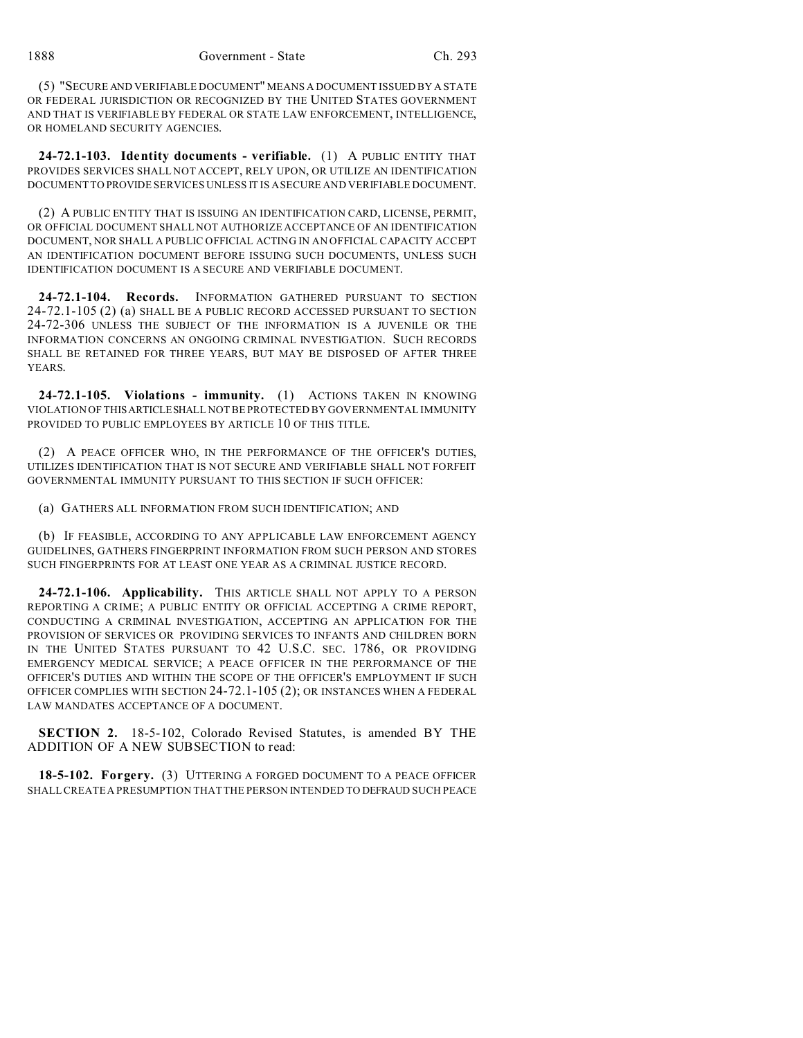(5) "SECURE AND VERIFIABLE DOCUMENT" MEANS A DOCUMENT ISSUED BY A STATE OR FEDERAL JURISDICTION OR RECOGNIZED BY THE UNITED STATES GOVERNMENT AND THAT IS VERIFIABLE BY FEDERAL OR STATE LAW ENFORCEMENT, INTELLIGENCE, OR HOMELAND SECURITY AGENCIES.

**24-72.1-103. Identity documents - verifiable.** (1) A PUBLIC ENTITY THAT PROVIDES SERVICES SHALL NOT ACCEPT, RELY UPON, OR UTILIZE AN IDENTIFICATION DOCUMENT TO PROVIDE SERVICES UNLESS IT IS A SECURE AND VERIFIABLE DOCUMENT.

(2) A PUBLIC ENTITY THAT IS ISSUING AN IDENTIFICATION CARD, LICENSE, PERMIT, OR OFFICIAL DOCUMENT SHALL NOT AUTHORIZE ACCEPTANCE OF AN IDENTIFICATION DOCUMENT, NOR SHALL A PUBLIC OFFICIAL ACTING IN AN OFFICIAL CAPACITY ACCEPT AN IDENTIFICATION DOCUMENT BEFORE ISSUING SUCH DOCUMENTS, UNLESS SUCH IDENTIFICATION DOCUMENT IS A SECURE AND VERIFIABLE DOCUMENT.

**24-72.1-104. Records.** INFORMATION GATHERED PURSUANT TO SECTION 24-72.1-105 (2) (a) SHALL BE A PUBLIC RECORD ACCESSED PURSUANT TO SECTION 24-72-306 UNLESS THE SUBJECT OF THE INFORMATION IS A JUVENILE OR THE INFORMATION CONCERNS AN ONGOING CRIMINAL INVESTIGATION. SUCH RECORDS SHALL BE RETAINED FOR THREE YEARS, BUT MAY BE DISPOSED OF AFTER THREE YEARS.

**24-72.1-105. Violations - immunity.** (1) ACTIONS TAKEN IN KNOWING VIOLATION OF THISARTICLESHALL NOT BE PROTECTED BY GOVERNMENTAL IMMUNITY PROVIDED TO PUBLIC EMPLOYEES BY ARTICLE 10 OF THIS TITLE.

(2) A PEACE OFFICER WHO, IN THE PERFORMANCE OF THE OFFICER'S DUTIES, UTILIZES IDENTIFICATION THAT IS NOT SECURE AND VERIFIABLE SHALL NOT FORFEIT GOVERNMENTAL IMMUNITY PURSUANT TO THIS SECTION IF SUCH OFFICER:

(a) GATHERS ALL INFORMATION FROM SUCH IDENTIFICATION; AND

(b) IF FEASIBLE, ACCORDING TO ANY APPLICABLE LAW ENFORCEMENT AGENCY GUIDELINES, GATHERS FINGERPRINT INFORMATION FROM SUCH PERSON AND STORES SUCH FINGERPRINTS FOR AT LEAST ONE YEAR AS A CRIMINAL JUSTICE RECORD.

**24-72.1-106. Applicability.** THIS ARTICLE SHALL NOT APPLY TO A PERSON REPORTING A CRIME; A PUBLIC ENTITY OR OFFICIAL ACCEPTING A CRIME REPORT, CONDUCTING A CRIMINAL INVESTIGATION, ACCEPTING AN APPLICATION FOR THE PROVISION OF SERVICES OR PROVIDING SERVICES TO INFANTS AND CHILDREN BORN IN THE UNITED STATES PURSUANT TO 42 U.S.C. SEC. 1786, OR PROVIDING EMERGENCY MEDICAL SERVICE; A PEACE OFFICER IN THE PERFORMANCE OF THE OFFICER'S DUTIES AND WITHIN THE SCOPE OF THE OFFICER'S EMPLOYMENT IF SUCH OFFICER COMPLIES WITH SECTION 24-72.1-105 (2); OR INSTANCES WHEN A FEDERAL LAW MANDATES ACCEPTANCE OF A DOCUMENT.

**SECTION 2.** 18-5-102, Colorado Revised Statutes, is amended BY THE ADDITION OF A NEW SUBSECTION to read:

**18-5-102. Forgery.** (3) UTTERING A FORGED DOCUMENT TO A PEACE OFFICER SHALL CREATE A PRESUMPTION THAT THE PERSON INTENDED TO DEFRAUD SUCH PEACE